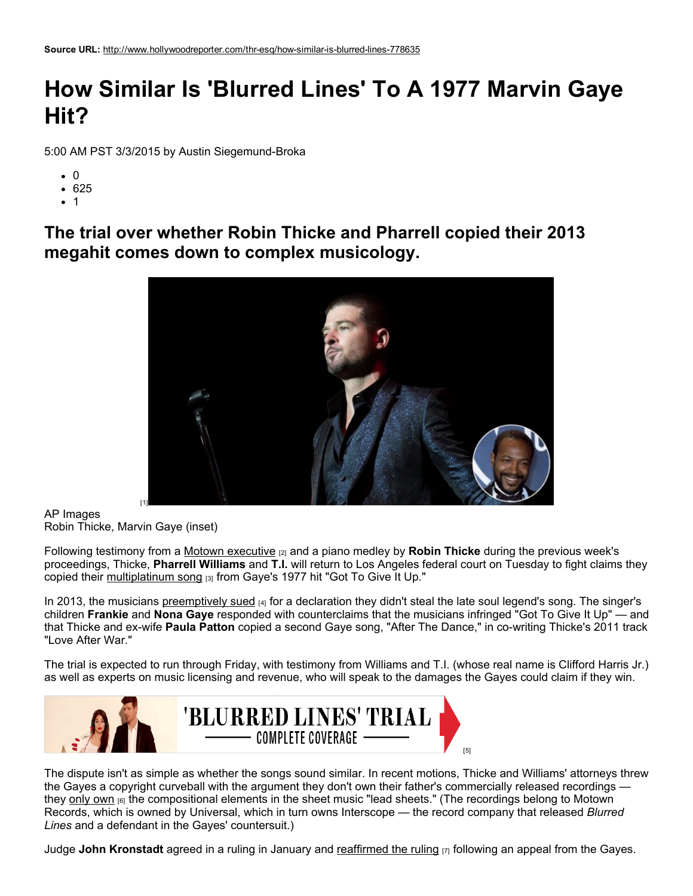## How Similar Is 'Blurred Lines' To A 1977 Marvin Gaye Hit?

5:00 AM PST 3/3/2015 by Austin Siegemund-Broka

- $\bullet$  0
- 625
- $\bullet$  1

The trial over whether Robin Thicke and Pharrell copied their 2013 megahit comes down to complex musicology.



AP Images Robin Thicke, Marvin Gaye (inset)

Following testimony from a Motown [executive](http://www.hollywoodreporter.com/thr-esq/blurred-lines-trial-motown-exec-778172)  $_{[2]}$  and a piano medley by **Robin Thicke** during the previous week's proceedings, Thicke, Pharrell Williams and T.I. will return to Los Angeles federal court on Tuesday to fight claims they copied their [multiplatinum](http://www.billboard.com/articles/columns/pop-shop/6258733/robin-thicke-blurred-lines-one-year-later) song [3] from Gaye's 1977 hit "Got To Give It Up."

In 2013, the musicians [preemptively](http://www.hollywoodreporter.com/thr-esq/robin-thicke-sues-protect-blurred-607492) sued [4] for a declaration they didn't steal the late soul legend's song. The singer's children Frankie and Nona Gaye responded with counterclaims that the musicians infringed "Got To Give It Up" — and that Thicke and ex-wife Paula Patton copied a second Gaye song, "After The Dance," in co-writing Thicke's 2011 track "Love After War."

The trial is expected to run through Friday, with testimony from Williams and T.I. (whose real name is Clifford Harris Jr.) as well as experts on music licensing and revenue, who will speak to the damages the Gayes could claim if they win.



The dispute isn't as simple as whether the songs sound similar. In recent motions, Thicke and Williams' attorneys threw the Gayes a copyright curveball with the argument they don't own their father's commercially released recordings they [only](http://www.hollywoodreporter.com/thr-esq/marvin-gaye-family-says-jury-778633) own [6] the compositional elements in the sheet music "lead sheets." (The recordings belong to Motown Records, which is owned by Universal, which in turn owns Interscope — the record company that released *Blurred Lines* and a defendant in the Gayes' countersuit.)

Judge John Kronstadt agreed in a ruling in January and [reaffirmed](http://www.hollywoodreporter.com/thr-esq/marvin-gayes-family-doubts-fair-767568) the ruling  $[7]$  following an appeal from the Gayes.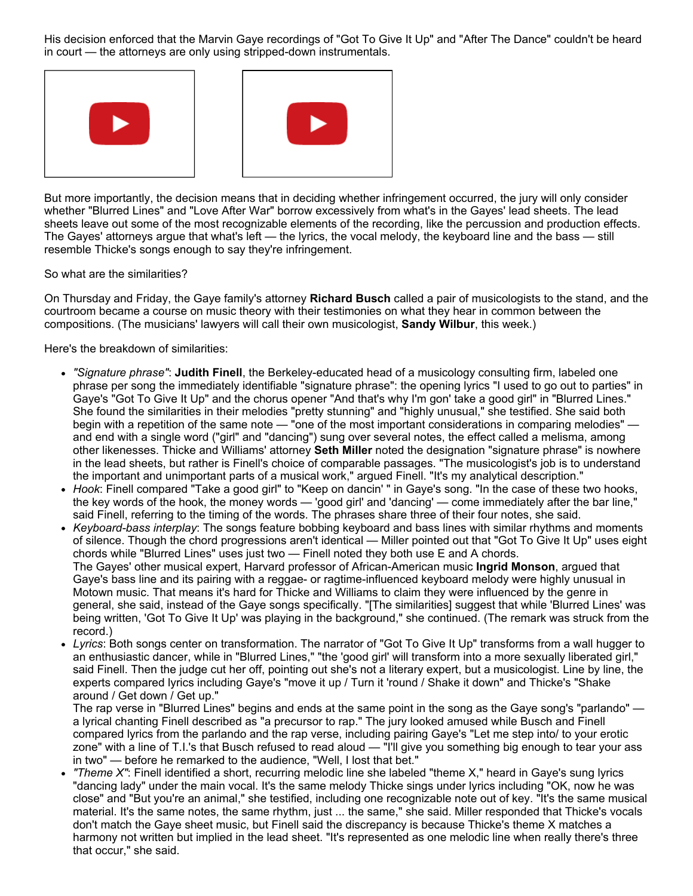His decision enforced that the Marvin Gaye recordings of "Got To Give It Up" and "After The Dance" couldn't be heard in court — the attorneys are only using stripped-down instrumentals.





But more importantly, the decision means that in deciding whether infringement occurred, the jury will only consider whether "Blurred Lines" and "Love After War" borrow excessively from what's in the Gayes' lead sheets. The lead sheets leave out some of the most recognizable elements of the recording, like the percussion and production effects. The Gayes' attorneys argue that what's left — the lyrics, the vocal melody, the keyboard line and the bass — still resemble Thicke's songs enough to say they're infringement.

So what are the similarities?

On Thursday and Friday, the Gaye family's attorney Richard Busch called a pair of musicologists to the stand, and the courtroom became a course on music theory with their testimonies on what they hear in common between the compositions. (The musicians' lawyers will call their own musicologist, Sandy Wilbur, this week.)

Here's the breakdown of similarities:

- "Signature phrase": Judith Finell, the Berkeley-educated head of a musicology consulting firm, labeled one phrase per song the immediately identifiable "signature phrase": the opening lyrics "I used to go out to parties" in Gaye's "Got To Give It Up" and the chorus opener "And that's why I'm gon' take a good girl" in "Blurred Lines." She found the similarities in their melodies "pretty stunning" and "highly unusual," she testified. She said both<br>begin with a repetition of the same note — "one of the most important considerations in comparing melodies" and end with a single word ("girl" and "dancing") sung over several notes, the effect called a melisma, among other likenesses. Thicke and Williams' attorney Seth Miller noted the designation "signature phrase" is nowhere in the lead sheets, but rather is Finell's choice of comparable passages. "The musicologist's job is to understand the important and unimportant parts of a musical work," argued Finell. "It's my analytical description."
- Hook: Finell compared "Take a good girl" to "Keep on dancin' " in Gaye's song. "In the case of these two hooks, the key words of the hook, the money words 'good girl' and 'dancing' come immediately after the bar line said Finell, referring to the timing of the words. The phrases share three of their four notes, she said.
- Keyboard-bass interplay: The songs feature bobbing keyboard and bass lines with similar rhythms and moments of silence. Though the chord progressions aren't identical — Miller pointed out that "Got To Give It Up" uses eight chords while "Blurred Lines" uses just two - Finell noted they both use E and A chords. The Gayes' other musical expert, Harvard professor of African-American music Ingrid Monson, argued that Gaye's bass line and its pairing with a reggae- or ragtime-influenced keyboard melody were highly unusual in Motown music. That means it's hard for Thicke and Williams to claim they were influenced by the genre in general, she said, instead of the Gaye songs specifically. "[The similarities] suggest that while 'Blurred Lines' was being written, 'Got To Give It Up' was playing in the background," she continued. (The remark was struck from the record.)
- Lyrics: Both songs center on transformation. The narrator of "Got To Give It Up" transforms from a wall hugger to an enthusiastic dancer, while in "Blurred Lines," "the 'good girl' will transform into a more sexually liberated girl," said Finell. Then the judge cut her off, pointing out she's not a literary expert, but a musicologist. Line by line, the experts compared lyrics including Gaye's "move it up / Turn it 'round / Shake it down" and Thicke's "Shake around / Get down / Get up."

The rap verse in "Blurred Lines" begins and ends at the same point in the song as the Gaye song's "parlando" a lyrical chanting Finell described as "a precursor to rap." The jury looked amused while Busch and Finell compared lyrics from the parlando and the rap verse, including pairing Gaye's "Let me step into/ to your erotic zone" with a line of T.I.'s that Busch refused to read aloud - "I'll give you something big enough to tear your ass in two" - before he remarked to the audience, "Well, I lost that bet."

"Theme X": Finell identified a short, recurring melodic line she labeled "theme X," heard in Gaye's sung lyrics "dancing lady" under the main vocal. It's the same melody Thicke sings under lyrics including "OK, now he was close" and "But you're an animal," she testified, including one recognizable note out of key. "It's the same musical material. It's the same notes, the same rhythm, just ... the same," she said. Miller responded that Thicke's vocals don't match the Gaye sheet music, but Finell said the discrepancy is because Thicke's theme X matches a harmony not written but implied in the lead sheet. "It's represented as one melodic line when really there's three that occur," she said.